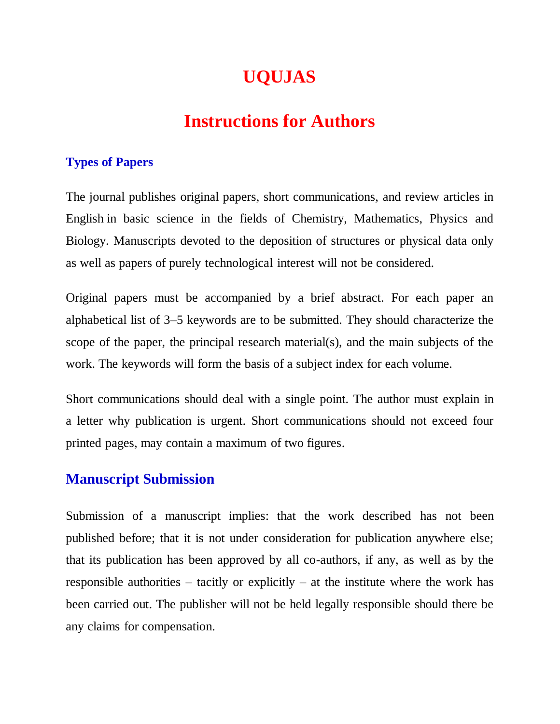# **UQUJAS**

# **Instructions for Authors**

### **Types of Papers**

The journal publishes original papers, short communications, and review articles in English in basic science in the fields of Chemistry, Mathematics, Physics and Biology. Manuscripts devoted to the deposition of structures or physical data only as well as papers of purely technological interest will not be considered.

Original papers must be accompanied by a brief abstract. For each paper an alphabetical list of 3–5 keywords are to be submitted. They should characterize the scope of the paper, the principal research material(s), and the main subjects of the work. The keywords will form the basis of a subject index for each volume.

Short communications should deal with a single point. The author must explain in a letter why publication is urgent. Short communications should not exceed four printed pages, may contain a maximum of two figures.

### **Manuscript Submission**

Submission of a manuscript implies: that the work described has not been published before; that it is not under consideration for publication anywhere else; that its publication has been approved by all co-authors, if any, as well as by the responsible authorities – tacitly or explicitly – at the institute where the work has been carried out. The publisher will not be held legally responsible should there be any claims for compensation.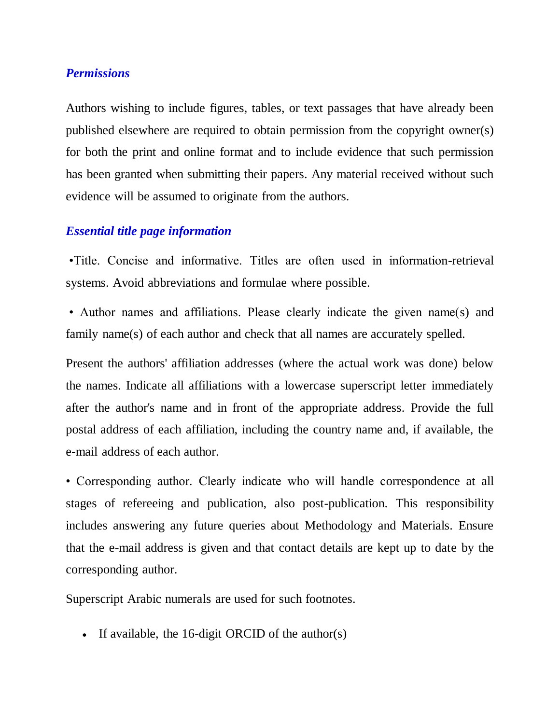#### *Permissions*

Authors wishing to include figures, tables, or text passages that have already been published elsewhere are required to obtain permission from the copyright owner(s) for both the print and online format and to include evidence that such permission has been granted when submitting their papers. Any material received without such evidence will be assumed to originate from the authors.

# *Essential title page information*

•Title. Concise and informative. Titles are often used in information-retrieval systems. Avoid abbreviations and formulae where possible.

• Author names and affiliations. Please clearly indicate the given name(s) and family name(s) of each author and check that all names are accurately spelled.

Present the authors' affiliation addresses (where the actual work was done) below the names. Indicate all affiliations with a lowercase superscript letter immediately after the author's name and in front of the appropriate address. Provide the full postal address of each affiliation, including the country name and, if available, the e-mail address of each author.

• Corresponding author. Clearly indicate who will handle correspondence at all stages of refereeing and publication, also post-publication. This responsibility includes answering any future queries about Methodology and Materials. Ensure that the e-mail address is given and that contact details are kept up to date by the corresponding author.

Superscript Arabic numerals are used for such footnotes.

If available, the 16-digit ORCID of the author(s)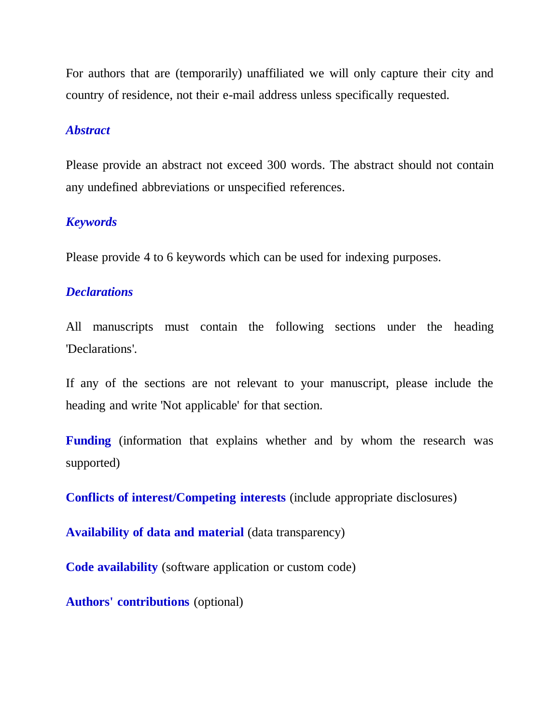For authors that are (temporarily) unaffiliated we will only capture their city and country of residence, not their e-mail address unless specifically requested.

#### *Abstract*

Please provide an abstract not exceed 300 words. The abstract should not contain any undefined abbreviations or unspecified references.

### *Keywords*

Please provide 4 to 6 keywords which can be used for indexing purposes.

#### *Declarations*

All manuscripts must contain the following sections under the heading 'Declarations'.

If any of the sections are not relevant to your manuscript, please include the heading and write 'Not applicable' for that section.

**Funding** (information that explains whether and by whom the research was supported)

**Conflicts of interest/Competing interests** (include appropriate disclosures)

**Availability of data and material** (data transparency)

**Code availability** (software application or custom code)

**Authors' contributions** (optional)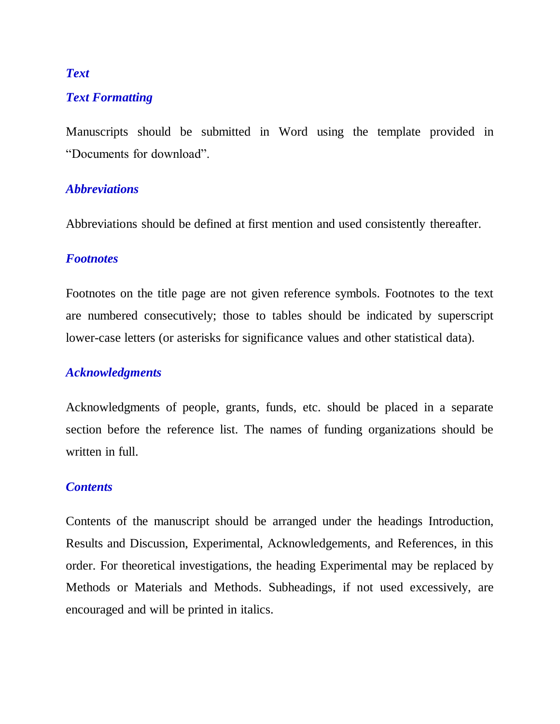#### *Text*

#### *Text Formatting*

Manuscripts should be submitted in Word using the template provided in "Documents for download".

#### *Abbreviations*

Abbreviations should be defined at first mention and used consistently thereafter.

#### *Footnotes*

Footnotes on the title page are not given reference symbols. Footnotes to the text are numbered consecutively; those to tables should be indicated by superscript lower-case letters (or asterisks for significance values and other statistical data).

#### *Acknowledgments*

Acknowledgments of people, grants, funds, etc. should be placed in a separate section before the reference list. The names of funding organizations should be written in full.

#### *Contents*

Contents of the manuscript should be arranged under the headings Introduction, Results and Discussion, Experimental, Acknowledgements, and References, in this order. For theoretical investigations, the heading Experimental may be replaced by Methods or Materials and Methods. Subheadings, if not used excessively, are encouraged and will be printed in italics.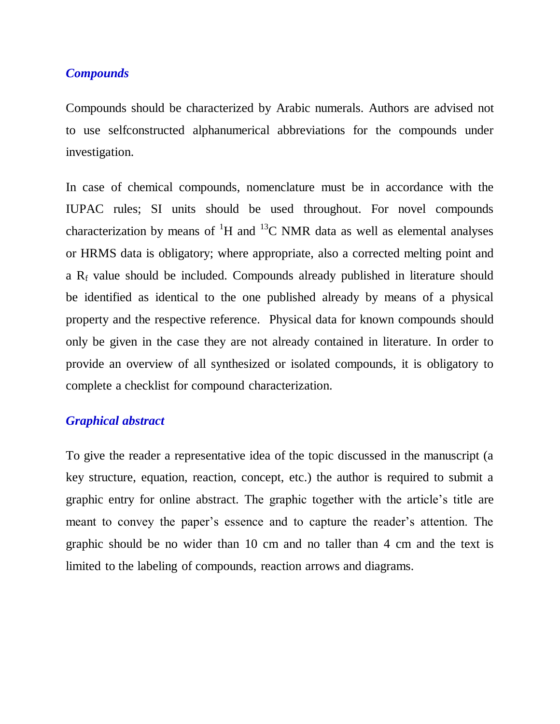#### *Compounds*

Compounds should be characterized by Arabic numerals. Authors are advised not to use selfconstructed alphanumerical abbreviations for the compounds under investigation.

In case of chemical compounds, nomenclature must be in accordance with the IUPAC rules; SI units should be used throughout. For novel compounds characterization by means of  ${}^{1}H$  and  ${}^{13}C$  NMR data as well as elemental analyses or HRMS data is obligatory; where appropriate, also a corrected melting point and a  $R_f$  value should be included. Compounds already published in literature should be identified as identical to the one published already by means of a physical property and the respective reference. Physical data for known compounds should only be given in the case they are not already contained in literature. In order to provide an overview of all synthesized or isolated compounds, it is obligatory to complete a checklist for compound characterization.

#### *Graphical abstract*

To give the reader a representative idea of the topic discussed in the manuscript (a key structure, equation, reaction, concept, etc.) the author is required to submit a graphic entry for online abstract. The graphic together with the article"s title are meant to convey the paper's essence and to capture the reader's attention. The graphic should be no wider than 10 cm and no taller than 4 cm and the text is limited to the labeling of compounds, reaction arrows and diagrams.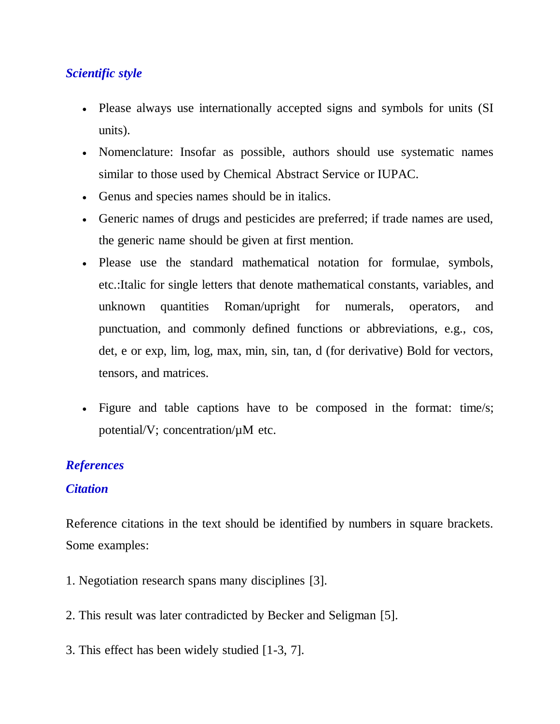# *Scientific style*

- Please always use internationally accepted signs and symbols for units (SI units).
- Nomenclature: Insofar as possible, authors should use systematic names similar to those used by Chemical Abstract Service or IUPAC.
- Genus and species names should be in italics.
- Generic names of drugs and pesticides are preferred; if trade names are used, the generic name should be given at first mention.
- Please use the standard mathematical notation for formulae, symbols, etc.:Italic for single letters that denote mathematical constants, variables, and unknown quantities Roman/upright for numerals, operators, and punctuation, and commonly defined functions or abbreviations, e.g., cos, det, e or exp, lim, log, max, min, sin, tan, d (for derivative) Bold for vectors, tensors, and matrices.
- Figure and table captions have to be composed in the format: time/s; potential/V; concentration/µM etc.

# *References*

### *Citation*

Reference citations in the text should be identified by numbers in square brackets. Some examples:

- 1. Negotiation research spans many disciplines [3].
- 2. This result was later contradicted by Becker and Seligman [5].
- 3. This effect has been widely studied [1-3, 7].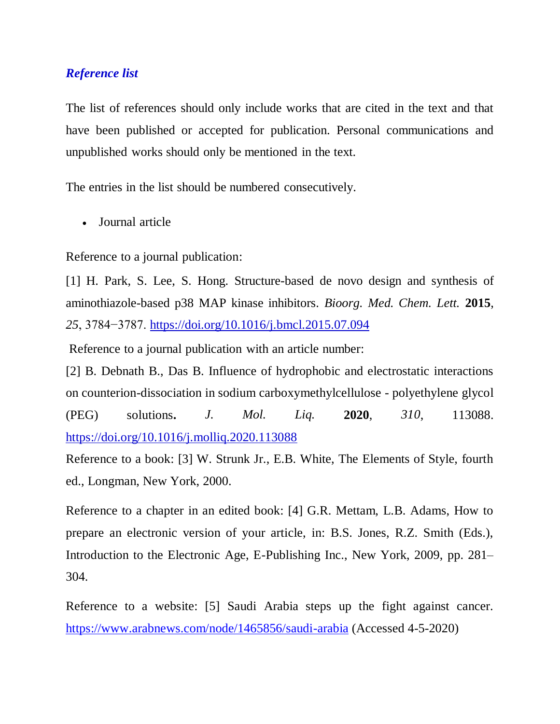### *Reference list*

The list of references should only include works that are cited in the text and that have been published or accepted for publication. Personal communications and unpublished works should only be mentioned in the text.

The entries in the list should be numbered consecutively.

Journal article

Reference to a journal publication:

[1] H. Park, S. Lee, S. Hong. Structure-based de novo design and synthesis of aminothiazole-based p38 MAP kinase inhibitors. *Bioorg. Med. Chem. Lett.* **2015**, *25*, 3784−3787. <https://doi.org/10.1016/j.bmcl.2015.07.094>

Reference to a journal publication with an article number:

[2] [B. Debnath B., Das](https://www.sciencedirect.com/science/article/abs/pii/S0167732220309739#!) B. Influence of hydrophobic and electrostatic interactions on counterion-dissociation in sodium carboxymethylcellulose - polyethylene glycol (PEG) solutions**.** *[J. Mol. Liq.](https://www.sciencedirect.com/science/journal/01677322)* **2020**, *310*, 113088. <https://doi.org/10.1016/j.molliq.2020.113088>

Reference to a book: [3] W. Strunk Jr., E.B. White, The Elements of Style, fourth ed., Longman, New York, 2000.

Reference to a chapter in an edited book: [4] G.R. Mettam, L.B. Adams, How to prepare an electronic version of your article, in: B.S. Jones, R.Z. Smith (Eds.), Introduction to the Electronic Age, E-Publishing Inc., New York, 2009, pp. 281– 304.

Reference to a website: [5] Saudi Arabia steps up the fight against cancer. <https://www.arabnews.com/node/1465856/saudi-arabia> (Accessed 4-5-2020)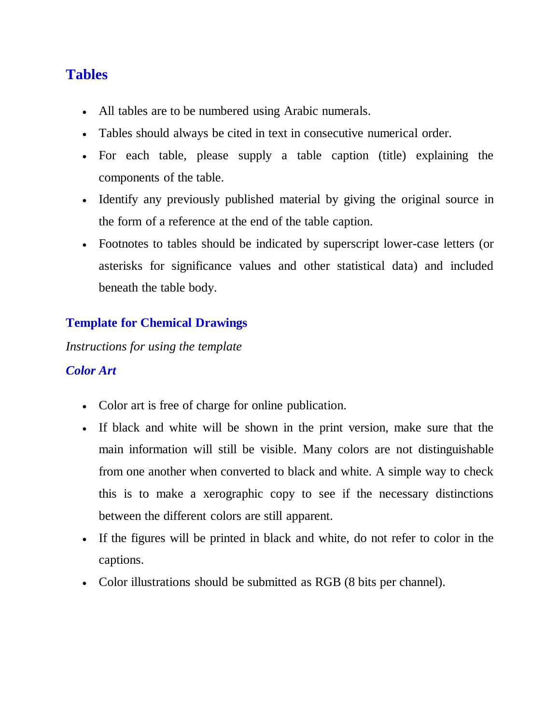# **Tables**

- All tables are to be numbered using Arabic numerals.
- Tables should always be cited in text in consecutive numerical order.
- For each table, please supply a table caption (title) explaining the components of the table.
- Identify any previously published material by giving the original source in the form of a reference at the end of the table caption.
- Footnotes to tables should be indicated by superscript lower-case letters (or asterisks for significance values and other statistical data) and included beneath the table body.

# **Template for Chemical Drawings**

*Instructions for using the template*

# *Color Art*

- Color art is free of charge for online publication.
- If black and white will be shown in the print version, make sure that the main information will still be visible. Many colors are not distinguishable from one another when converted to black and white. A simple way to check this is to make a xerographic copy to see if the necessary distinctions between the different colors are still apparent.
- If the figures will be printed in black and white, do not refer to color in the captions.
- Color illustrations should be submitted as RGB (8 bits per channel).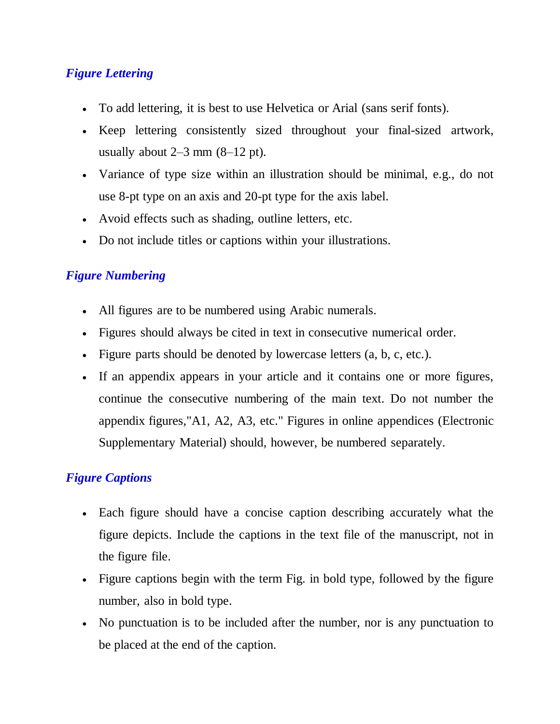# *Figure Lettering*

- To add lettering, it is best to use Helvetica or Arial (sans serif fonts).
- Keep lettering consistently sized throughout your final-sized artwork, usually about  $2-3$  mm  $(8-12 \text{ pt})$ .
- Variance of type size within an illustration should be minimal, e.g., do not use 8-pt type on an axis and 20-pt type for the axis label.
- Avoid effects such as shading, outline letters, etc.
- Do not include titles or captions within your illustrations.

# *Figure Numbering*

- All figures are to be numbered using Arabic numerals.
- Figures should always be cited in text in consecutive numerical order.
- Figure parts should be denoted by lowercase letters  $(a, b, c, etc.).$
- If an appendix appears in your article and it contains one or more figures, continue the consecutive numbering of the main text. Do not number the appendix figures,"A1, A2, A3, etc." Figures in online appendices (Electronic Supplementary Material) should, however, be numbered separately.

# *Figure Captions*

- Each figure should have a concise caption describing accurately what the figure depicts. Include the captions in the text file of the manuscript, not in the figure file.
- Figure captions begin with the term Fig. in bold type, followed by the figure number, also in bold type.
- No punctuation is to be included after the number, nor is any punctuation to be placed at the end of the caption.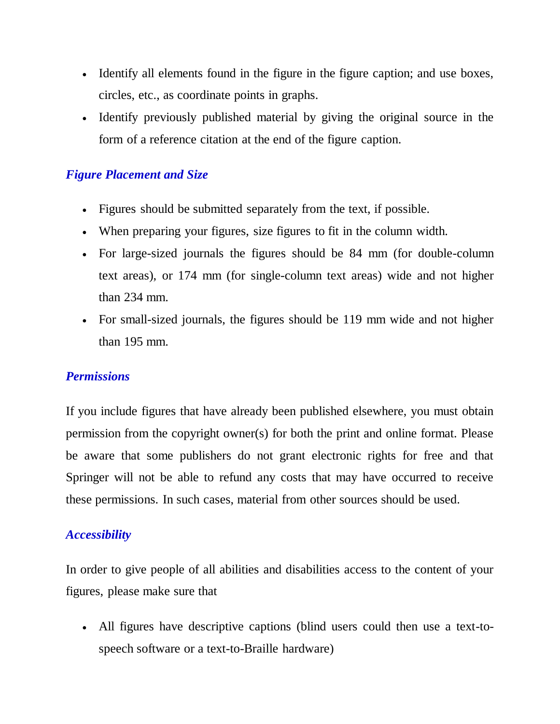- Identify all elements found in the figure in the figure caption; and use boxes, circles, etc., as coordinate points in graphs.
- Identify previously published material by giving the original source in the form of a reference citation at the end of the figure caption.

### *Figure Placement and Size*

- Figures should be submitted separately from the text, if possible.
- When preparing your figures, size figures to fit in the column width.
- For large-sized journals the figures should be 84 mm (for double-column text areas), or 174 mm (for single-column text areas) wide and not higher than 234 mm.
- For small-sized journals, the figures should be 119 mm wide and not higher than 195 mm.

# *Permissions*

If you include figures that have already been published elsewhere, you must obtain permission from the copyright owner(s) for both the print and online format. Please be aware that some publishers do not grant electronic rights for free and that Springer will not be able to refund any costs that may have occurred to receive these permissions. In such cases, material from other sources should be used.

### *Accessibility*

In order to give people of all abilities and disabilities access to the content of your figures, please make sure that

 All figures have descriptive captions (blind users could then use a text-tospeech software or a text-to-Braille hardware)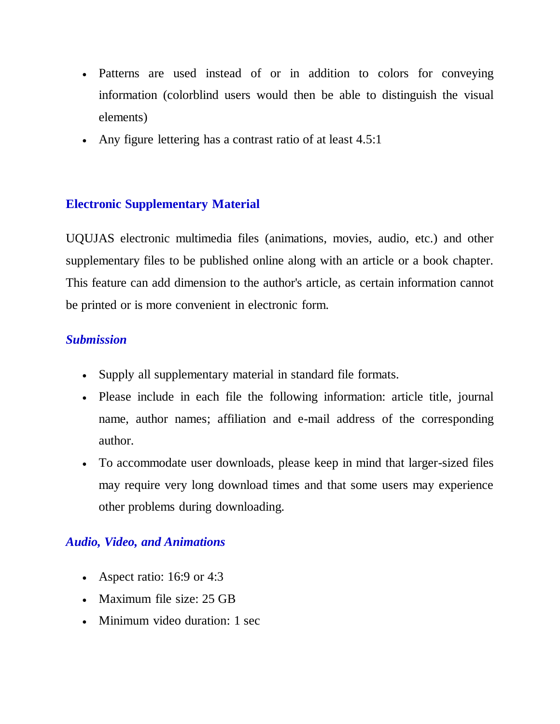- Patterns are used instead of or in addition to colors for conveying information (colorblind users would then be able to distinguish the visual elements)
- Any figure lettering has a contrast ratio of at least 4.5:1

# **Electronic Supplementary Material**

UQUJAS electronic multimedia files (animations, movies, audio, etc.) and other supplementary files to be published online along with an article or a book chapter. This feature can add dimension to the author's article, as certain information cannot be printed or is more convenient in electronic form.

# *Submission*

- Supply all supplementary material in standard file formats.
- Please include in each file the following information: article title, journal name, author names; affiliation and e-mail address of the corresponding author.
- To accommodate user downloads, please keep in mind that larger-sized files may require very long download times and that some users may experience other problems during downloading.

# *Audio, Video, and Animations*

- Aspect ratio:  $16:9$  or  $4:3$
- Maximum file size: 25 GB
- Minimum video duration: 1 sec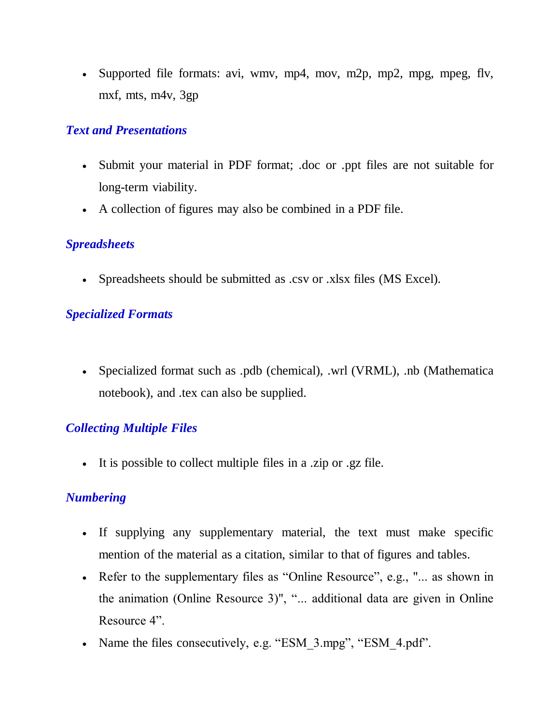Supported file formats: avi, wmv, mp4, mov, m2p, mp2, mpg, mpeg, flv, mxf, mts, m4v, 3gp

# *Text and Presentations*

- Submit your material in PDF format; .doc or .ppt files are not suitable for long-term viability.
- A collection of figures may also be combined in a PDF file.

### *Spreadsheets*

Spreadsheets should be submitted as .csv or .xlsx files (MS Excel).

# *Specialized Formats*

 Specialized format such as .pdb (chemical), .wrl (VRML), .nb (Mathematica notebook), and .tex can also be supplied.

# *Collecting Multiple Files*

It is possible to collect multiple files in a .zip or .gz file.

# *Numbering*

- If supplying any supplementary material, the text must make specific mention of the material as a citation, similar to that of figures and tables.
- Refer to the supplementary files as "Online Resource", e.g., "... as shown in the animation (Online Resource 3)", "... additional data are given in Online Resource 4".
- Name the files consecutively, e.g. "ESM\_3.mpg", "ESM\_4.pdf".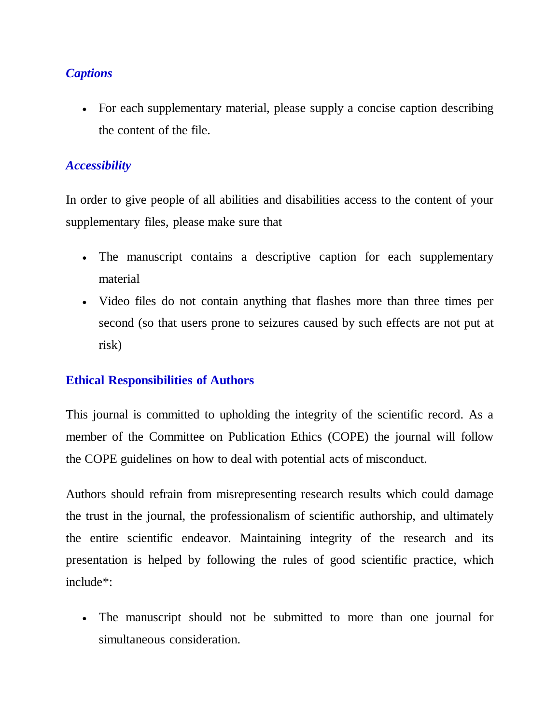# *Captions*

 For each supplementary material, please supply a concise caption describing the content of the file.

# *Accessibility*

In order to give people of all abilities and disabilities access to the content of your supplementary files, please make sure that

- The manuscript contains a descriptive caption for each supplementary material
- Video files do not contain anything that flashes more than three times per second (so that users prone to seizures caused by such effects are not put at risk)

### **Ethical Responsibilities of Authors**

This journal is committed to upholding the integrity of the scientific record. As a member of the Committee on Publication Ethics (COPE) the journal will follow the COPE guidelines on how to deal with potential acts of misconduct.

Authors should refrain from misrepresenting research results which could damage the trust in the journal, the professionalism of scientific authorship, and ultimately the entire scientific endeavor. Maintaining integrity of the research and its presentation is helped by following the rules of good scientific practice, which include\*:

 The manuscript should not be submitted to more than one journal for simultaneous consideration.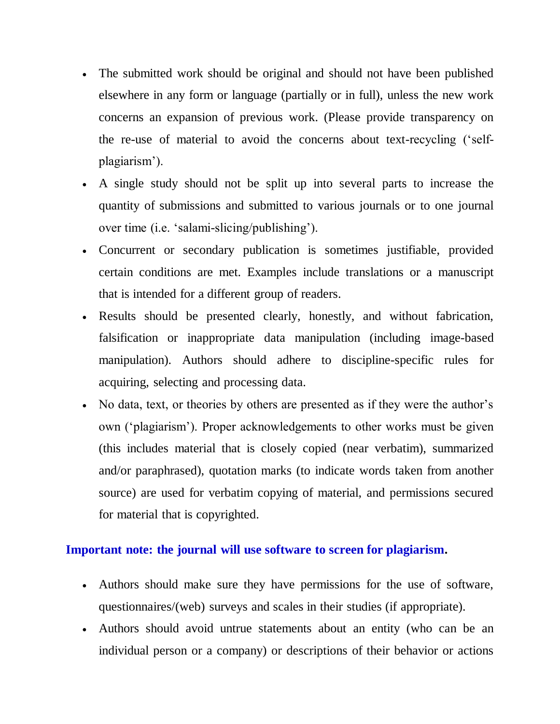- The submitted work should be original and should not have been published elsewhere in any form or language (partially or in full), unless the new work concerns an expansion of previous work. (Please provide transparency on the re-use of material to avoid the concerns about text-recycling ("selfplagiarism").
- A single study should not be split up into several parts to increase the quantity of submissions and submitted to various journals or to one journal over time (i.e. 'salami-slicing/publishing').
- Concurrent or secondary publication is sometimes justifiable, provided certain conditions are met. Examples include translations or a manuscript that is intended for a different group of readers.
- Results should be presented clearly, honestly, and without fabrication, falsification or inappropriate data manipulation (including image-based manipulation). Authors should adhere to discipline-specific rules for acquiring, selecting and processing data.
- No data, text, or theories by others are presented as if they were the author's own ("plagiarism"). Proper acknowledgements to other works must be given (this includes material that is closely copied (near verbatim), summarized and/or paraphrased), quotation marks (to indicate words taken from another source) are used for verbatim copying of material, and permissions secured for material that is copyrighted.

### **Important note: the journal will use software to screen for plagiarism.**

- Authors should make sure they have permissions for the use of software, questionnaires/(web) surveys and scales in their studies (if appropriate).
- Authors should avoid untrue statements about an entity (who can be an individual person or a company) or descriptions of their behavior or actions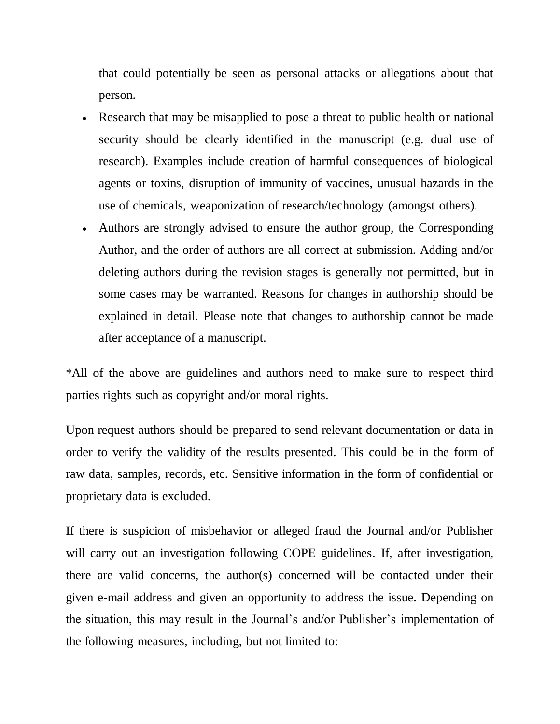that could potentially be seen as personal attacks or allegations about that person.

- Research that may be misapplied to pose a threat to public health or national security should be clearly identified in the manuscript (e.g. dual use of research). Examples include creation of harmful consequences of biological agents or toxins, disruption of immunity of vaccines, unusual hazards in the use of chemicals, weaponization of research/technology (amongst others).
- Authors are strongly advised to ensure the author group, the Corresponding Author, and the order of authors are all correct at submission. Adding and/or deleting authors during the revision stages is generally not permitted, but in some cases may be warranted. Reasons for changes in authorship should be explained in detail. Please note that changes to authorship cannot be made after acceptance of a manuscript.

\*All of the above are guidelines and authors need to make sure to respect third parties rights such as copyright and/or moral rights.

Upon request authors should be prepared to send relevant documentation or data in order to verify the validity of the results presented. This could be in the form of raw data, samples, records, etc. Sensitive information in the form of confidential or proprietary data is excluded.

If there is suspicion of misbehavior or alleged fraud the Journal and/or Publisher will carry out an investigation following COPE guidelines. If, after investigation, there are valid concerns, the author(s) concerned will be contacted under their given e-mail address and given an opportunity to address the issue. Depending on the situation, this may result in the Journal"s and/or Publisher"s implementation of the following measures, including, but not limited to: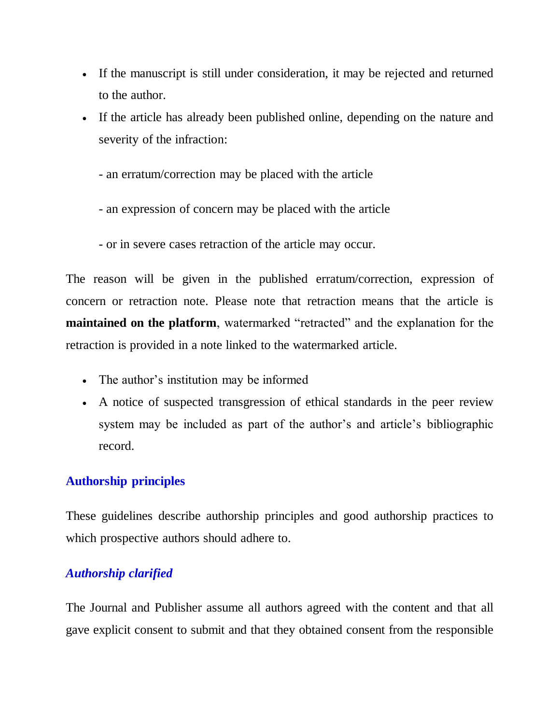- If the manuscript is still under consideration, it may be rejected and returned to the author.
- If the article has already been published online, depending on the nature and severity of the infraction:
	- an erratum/correction may be placed with the article
	- an expression of concern may be placed with the article
	- or in severe cases retraction of the article may occur.

The reason will be given in the published erratum/correction, expression of concern or retraction note. Please note that retraction means that the article is **maintained on the platform**, watermarked "retracted" and the explanation for the retraction is provided in a note linked to the watermarked article.

- The author's institution may be informed
- A notice of suspected transgression of ethical standards in the peer review system may be included as part of the author's and article's bibliographic record.

# **Authorship principles**

These guidelines describe authorship principles and good authorship practices to which prospective authors should adhere to.

# *Authorship clarified*

The Journal and Publisher assume all authors agreed with the content and that all gave explicit consent to submit and that they obtained consent from the responsible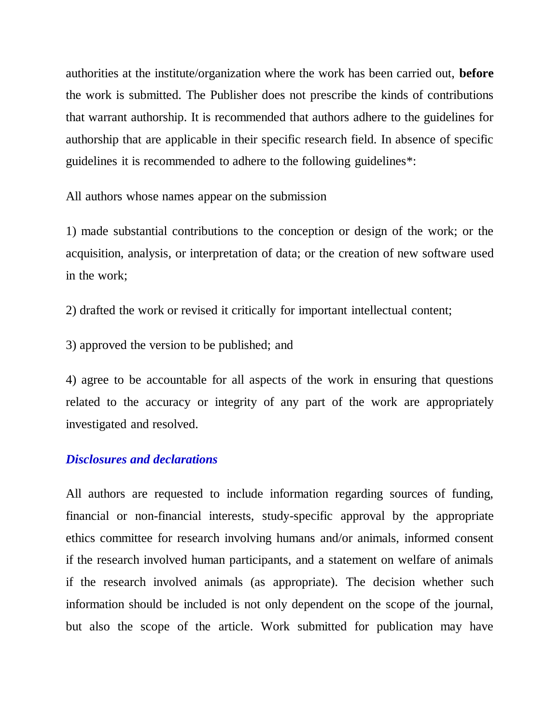authorities at the institute/organization where the work has been carried out, **before** the work is submitted. The Publisher does not prescribe the kinds of contributions that warrant authorship. It is recommended that authors adhere to the guidelines for authorship that are applicable in their specific research field. In absence of specific guidelines it is recommended to adhere to the following guidelines\*:

All authors whose names appear on the submission

1) made substantial contributions to the conception or design of the work; or the acquisition, analysis, or interpretation of data; or the creation of new software used in the work;

2) drafted the work or revised it critically for important intellectual content;

3) approved the version to be published; and

4) agree to be accountable for all aspects of the work in ensuring that questions related to the accuracy or integrity of any part of the work are appropriately investigated and resolved.

#### *Disclosures and declarations*

All authors are requested to include information regarding sources of funding, financial or non-financial interests, study-specific approval by the appropriate ethics committee for research involving humans and/or animals, informed consent if the research involved human participants, and a statement on welfare of animals if the research involved animals (as appropriate). The decision whether such information should be included is not only dependent on the scope of the journal, but also the scope of the article. Work submitted for publication may have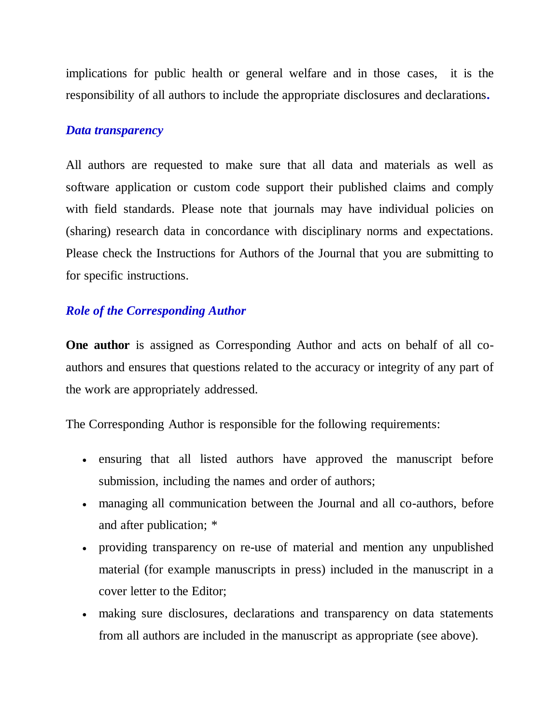implications for public health or general welfare and in those cases, it is the responsibility of all authors to include the appropriate disclosures and declarations**.**

#### *Data transparency*

All authors are requested to make sure that all data and materials as well as software application or custom code support their published claims and comply with field standards. Please note that journals may have individual policies on (sharing) research data in concordance with disciplinary norms and expectations. Please check the Instructions for Authors of the Journal that you are submitting to for specific instructions.

#### *Role of the Corresponding Author*

**One author** is assigned as Corresponding Author and acts on behalf of all coauthors and ensures that questions related to the accuracy or integrity of any part of the work are appropriately addressed.

The Corresponding Author is responsible for the following requirements:

- ensuring that all listed authors have approved the manuscript before submission, including the names and order of authors;
- managing all communication between the Journal and all co-authors, before and after publication; \*
- providing transparency on re-use of material and mention any unpublished material (for example manuscripts in press) included in the manuscript in a cover letter to the Editor;
- making sure disclosures, declarations and transparency on data statements from all authors are included in the manuscript as appropriate (see above).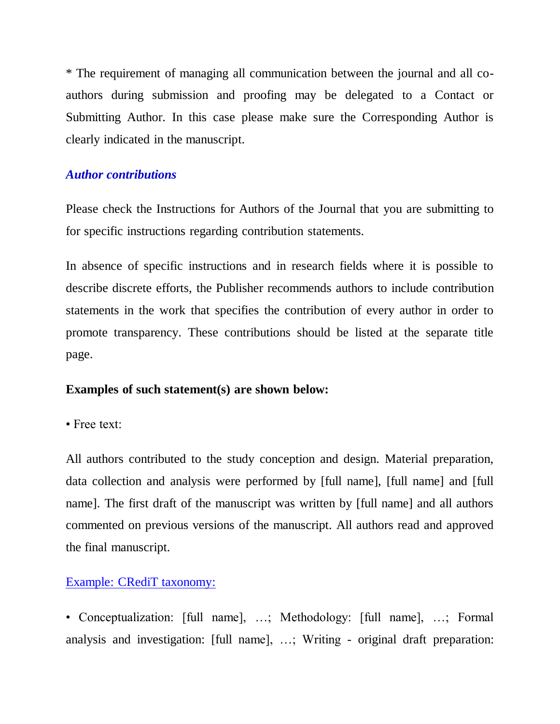\* The requirement of managing all communication between the journal and all coauthors during submission and proofing may be delegated to a Contact or Submitting Author. In this case please make sure the Corresponding Author is clearly indicated in the manuscript.

### *Author contributions*

Please check the Instructions for Authors of the Journal that you are submitting to for specific instructions regarding contribution statements.

In absence of specific instructions and in research fields where it is possible to describe discrete efforts, the Publisher recommends authors to include contribution statements in the work that specifies the contribution of every author in order to promote transparency. These contributions should be listed at the separate title page.

#### **Examples of such statement(s) are shown below:**

• Free text:

All authors contributed to the study conception and design. Material preparation, data collection and analysis were performed by [full name], [full name] and [full name]. The first draft of the manuscript was written by [full name] and all authors commented on previous versions of the manuscript. All authors read and approved the final manuscript.

### [Example: CRediT taxonomy:](https://www.casrai.org/credit.html)

• Conceptualization: [full name], …; Methodology: [full name], …; Formal analysis and investigation: [full name], …; Writing - original draft preparation: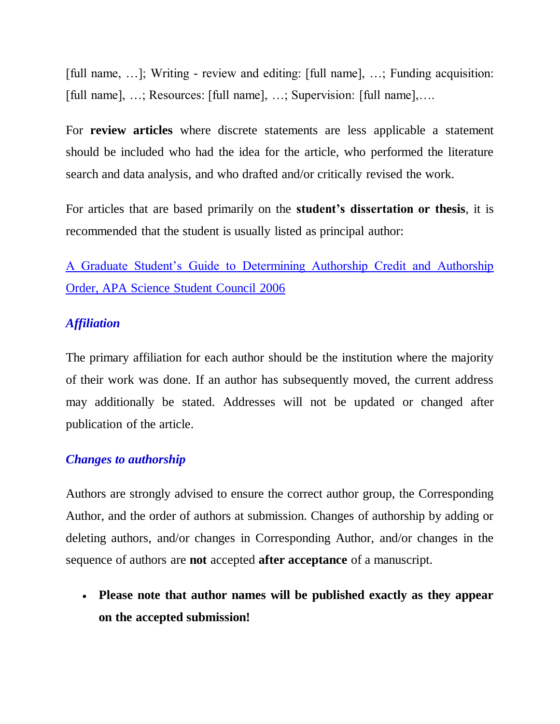[full name, …]; Writing - review and editing: [full name], …; Funding acquisition: [full name], …; Resources: [full name], …; Supervision: [full name],….

For **review articles** where discrete statements are less applicable a statement should be included who had the idea for the article, who performed the literature search and data analysis, and who drafted and/or critically revised the work.

For articles that are based primarily on the **student's dissertation or thesis**, it is recommended that the student is usually listed as principal author:

[A Graduate Student"s Guide to Determining Authorship Credit and Authorship](https://www.apa.org/science/leadership/students/authorship-paper.pdf)  [Order, APA Science Student Council 2006](https://www.apa.org/science/leadership/students/authorship-paper.pdf) 

#### *Affiliation*

The primary affiliation for each author should be the institution where the majority of their work was done. If an author has subsequently moved, the current address may additionally be stated. Addresses will not be updated or changed after publication of the article.

#### *Changes to authorship*

Authors are strongly advised to ensure the correct author group, the Corresponding Author, and the order of authors at submission. Changes of authorship by adding or deleting authors, and/or changes in Corresponding Author, and/or changes in the sequence of authors are **not** accepted **after acceptance** of a manuscript.

 **Please note that author names will be published exactly as they appear on the accepted submission!**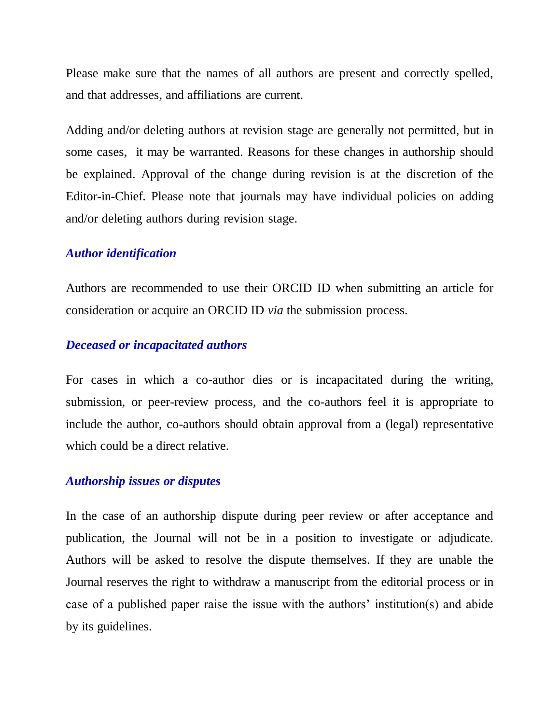Please make sure that the names of all authors are present and correctly spelled, and that addresses, and affiliations are current.

Adding and/or deleting authors at revision stage are generally not permitted, but in some cases, it may be warranted. Reasons for these changes in authorship should be explained. Approval of the change during revision is at the discretion of the Editor-in-Chief. Please note that journals may have individual policies on adding and/or deleting authors during revision stage.

#### *Author identification*

Authors are recommended to use their ORCID ID when submitting an article for consideration or acquire an ORCID ID *via* the submission process.

#### *Deceased or incapacitated authors*

For cases in which a co-author dies or is incapacitated during the writing, submission, or peer-review process, and the co-authors feel it is appropriate to include the author, co-authors should obtain approval from a (legal) representative which could be a direct relative.

#### *Authorship issues or disputes*

In the case of an authorship dispute during peer review or after acceptance and publication, the Journal will not be in a position to investigate or adjudicate. Authors will be asked to resolve the dispute themselves. If they are unable the Journal reserves the right to withdraw a manuscript from the editorial process or in case of a published paper raise the issue with the authors' institution(s) and abide by its guidelines.